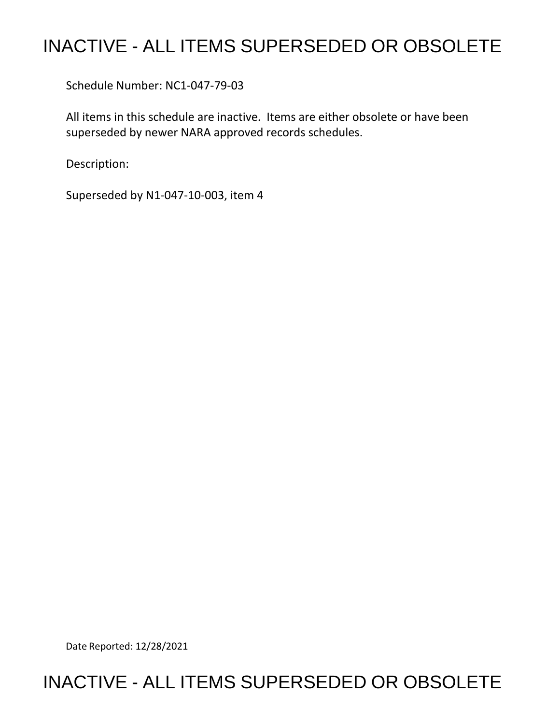## INACTIVE - ALL ITEMS SUPERSEDED OR OBSOLETE

Schedule Number: NC1-047-79-03

 All items in this schedule are inactive. Items are either obsolete or have been superseded by newer NARA approved records schedules.

Description:

Superseded by N1-047-10-003, item 4

Date Reported: 12/28/2021

## INACTIVE - ALL ITEMS SUPERSEDED OR OBSOLETE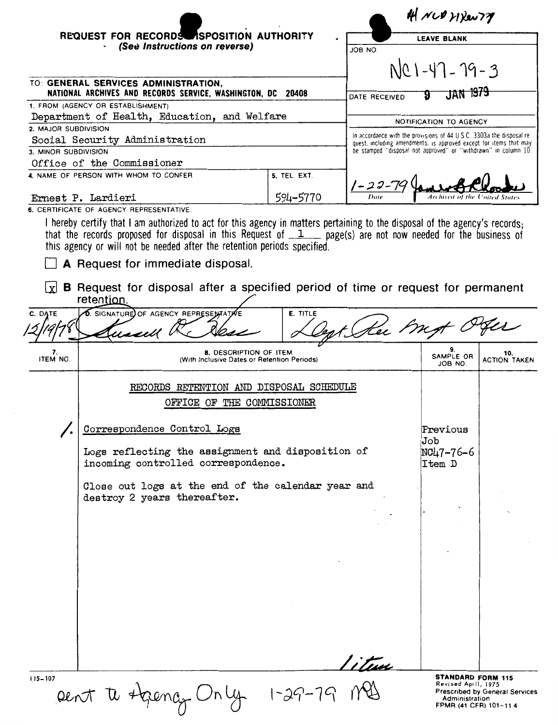|                                                                                                     | REQUEST FOR RECORDS ISPOSITION AUTHORITY<br>(See Instructions on reverse)                                                                                                                                                                                                                                               |                            | AH NUD HYRONTY<br><b>LEAVE BLANK</b><br>JOB NO                                                                                              |                                                                                             |                                       |
|-----------------------------------------------------------------------------------------------------|-------------------------------------------------------------------------------------------------------------------------------------------------------------------------------------------------------------------------------------------------------------------------------------------------------------------------|----------------------------|---------------------------------------------------------------------------------------------------------------------------------------------|---------------------------------------------------------------------------------------------|---------------------------------------|
|                                                                                                     |                                                                                                                                                                                                                                                                                                                         |                            |                                                                                                                                             |                                                                                             |                                       |
|                                                                                                     |                                                                                                                                                                                                                                                                                                                         |                            |                                                                                                                                             | NC1-47-79-3                                                                                 |                                       |
| TO: GENERAL SERVICES ADMINISTRATION,<br>NATIONAL ARCHIVES AND RECORDS SERVICE, WASHINGTON, DC 20408 |                                                                                                                                                                                                                                                                                                                         |                            | DATE RECEIVED                                                                                                                               | JAN 1979<br>g                                                                               |                                       |
| 1. FROM (AGENCY OR ESTABLISHMENT)                                                                   |                                                                                                                                                                                                                                                                                                                         |                            |                                                                                                                                             |                                                                                             |                                       |
| Department of Health, Education, and Welfare<br>2. MAJOR SUBDIVISION                                |                                                                                                                                                                                                                                                                                                                         |                            | NOTIFICATION TO AGENCY                                                                                                                      |                                                                                             |                                       |
| Social Security Administration                                                                      |                                                                                                                                                                                                                                                                                                                         |                            | In accordance with the provisions of 44 U.S.C. 3303a the disposal re-<br>quest, including amendments, is approved except for items that may |                                                                                             |                                       |
| 3. MINOR SUBDIVISION                                                                                |                                                                                                                                                                                                                                                                                                                         |                            | be stamped "disposal not approved" or "withdrawn" in column 10.                                                                             |                                                                                             |                                       |
| Office of the Commissioner<br>5. TEL. EXT.<br>4. NAME OF PERSON WITH WHOM TO CONFER                 |                                                                                                                                                                                                                                                                                                                         |                            |                                                                                                                                             |                                                                                             |                                       |
|                                                                                                     |                                                                                                                                                                                                                                                                                                                         |                            |                                                                                                                                             |                                                                                             |                                       |
| 594-5770<br>Ernest P. Lardieri                                                                      |                                                                                                                                                                                                                                                                                                                         |                            |                                                                                                                                             | Archivist of the United State                                                               |                                       |
|                                                                                                     | 6. CERTIFICATE OF AGENCY REPRESENTATIVE                                                                                                                                                                                                                                                                                 |                            |                                                                                                                                             |                                                                                             |                                       |
|                                                                                                     | I hereby certify that I am authorized to act for this agency in matters pertaining to the disposal of the agency's records;<br>that the records proposed for disposal in this Request of $1$ page(s) are not now needed for the business of<br>this agency or will not be needed after the retention periods specified. |                            |                                                                                                                                             |                                                                                             |                                       |
|                                                                                                     | A Request for immediate disposal.                                                                                                                                                                                                                                                                                       |                            |                                                                                                                                             |                                                                                             |                                       |
| l xl                                                                                                | <b>B</b> Request for disposal after a specified period of time or request for permanent<br>retention.                                                                                                                                                                                                                   |                            |                                                                                                                                             |                                                                                             |                                       |
| C. DATE                                                                                             | <b>D.</b> SIGNATURE OF AGENCY REPRESENTATIVE<br>ussell                                                                                                                                                                                                                                                                  | E. TITLE                   | Kee My                                                                                                                                      |                                                                                             |                                       |
| 7.<br>ITEM NO.                                                                                      | 8. DESCRIPTION OF ITEM<br>(With Inclusive Dates or Retention Periods)                                                                                                                                                                                                                                                   |                            |                                                                                                                                             | 9.<br>SAMPLE OR<br>JOB NO.                                                                  | 10.<br><b>ACTION TAKEN</b>            |
|                                                                                                     | RECORDS RETENTION AND DISPOSAL SCHEDULE                                                                                                                                                                                                                                                                                 |                            |                                                                                                                                             |                                                                                             |                                       |
|                                                                                                     |                                                                                                                                                                                                                                                                                                                         | OFFICE OF THE COMMISSIONER |                                                                                                                                             |                                                                                             |                                       |
|                                                                                                     | Correspondence Control Logs                                                                                                                                                                                                                                                                                             |                            |                                                                                                                                             | Previous<br>Job                                                                             |                                       |
|                                                                                                     | Logs reflecting the assignment and disposition of<br>incoming controlled correspondence.                                                                                                                                                                                                                                |                            |                                                                                                                                             | NC47-76-6<br>Item D                                                                         |                                       |
|                                                                                                     | Close out logs at the end of the calendar year and<br>destroy 2 years thereafter.                                                                                                                                                                                                                                       |                            |                                                                                                                                             |                                                                                             |                                       |
|                                                                                                     |                                                                                                                                                                                                                                                                                                                         |                            |                                                                                                                                             |                                                                                             |                                       |
|                                                                                                     |                                                                                                                                                                                                                                                                                                                         |                            |                                                                                                                                             |                                                                                             |                                       |
|                                                                                                     |                                                                                                                                                                                                                                                                                                                         |                            |                                                                                                                                             |                                                                                             |                                       |
|                                                                                                     |                                                                                                                                                                                                                                                                                                                         |                            |                                                                                                                                             |                                                                                             |                                       |
|                                                                                                     |                                                                                                                                                                                                                                                                                                                         |                            |                                                                                                                                             |                                                                                             |                                       |
|                                                                                                     |                                                                                                                                                                                                                                                                                                                         |                            |                                                                                                                                             |                                                                                             |                                       |
|                                                                                                     |                                                                                                                                                                                                                                                                                                                         |                            |                                                                                                                                             |                                                                                             |                                       |
|                                                                                                     |                                                                                                                                                                                                                                                                                                                         |                            |                                                                                                                                             |                                                                                             |                                       |
|                                                                                                     |                                                                                                                                                                                                                                                                                                                         |                            |                                                                                                                                             |                                                                                             |                                       |
|                                                                                                     |                                                                                                                                                                                                                                                                                                                         |                            |                                                                                                                                             |                                                                                             |                                       |
|                                                                                                     |                                                                                                                                                                                                                                                                                                                         |                            | 'itun                                                                                                                                       |                                                                                             |                                       |
| 115-107                                                                                             | pent te Agency Only 1-29-79 Me                                                                                                                                                                                                                                                                                          |                            |                                                                                                                                             | <b>STANDARD FORM 115</b><br>Revised April, 1975<br>Administration<br>FPMR (41 CFR) 101-11.4 | <b>Prescribed by General Services</b> |